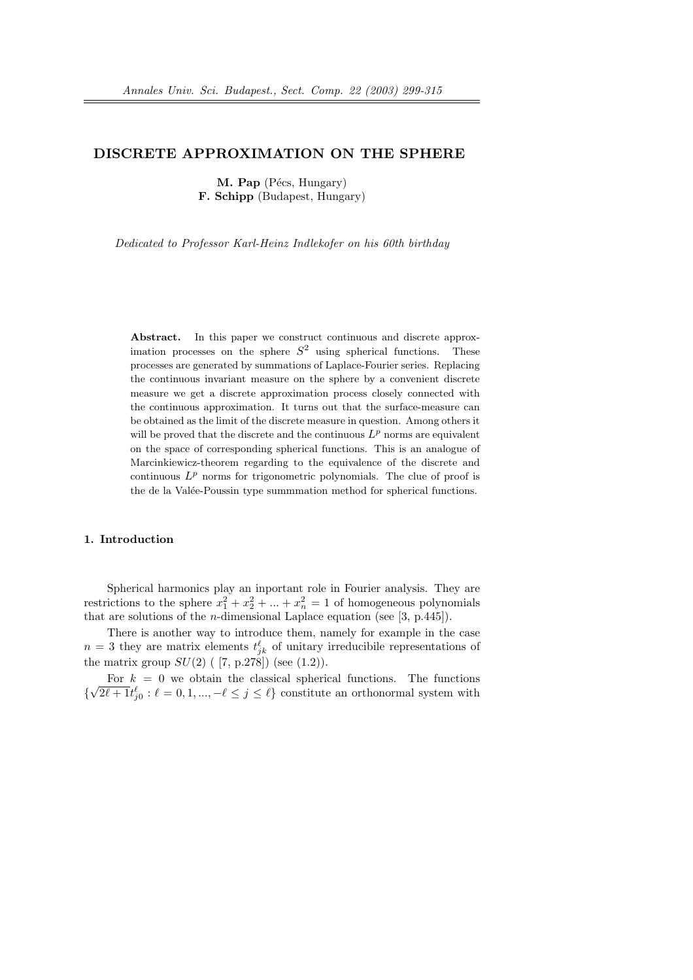## DISCRETE APPROXIMATION ON THE SPHERE

M. Pap (Pécs, Hungary) F. Schipp (Budapest, Hungary)

Dedicated to Professor Karl-Heinz Indlekofer on his 60th birthday

Abstract. In this paper we construct continuous and discrete approximation processes on the sphere  $S^2$  using spherical functions. These processes are generated by summations of Laplace-Fourier series. Replacing the continuous invariant measure on the sphere by a convenient discrete measure we get a discrete approximation process closely connected with the continuous approximation. It turns out that the surface-measure can be obtained as the limit of the discrete measure in question. Among others it will be proved that the discrete and the continuous  $L^p$  norms are equivalent on the space of corresponding spherical functions. This is an analogue of Marcinkiewicz-theorem regarding to the equivalence of the discrete and continuous  $L^p$  norms for trigonometric polynomials. The clue of proof is the de la Valée-Poussin type summmation method for spherical functions.

#### 1. Introduction

Spherical harmonics play an inportant role in Fourier analysis. They are restrictions to the sphere  $x_1^2 + x_2^2 + \dots + x_n^2 = 1$  of homogeneous polynomials that are solutions of the *n*-dimensional Laplace equation (see [3, p.445]).

There is another way to introduce them, namely for example in the case  $n=3$  they are matrix elements  $t^{\ell}_{jk}$  of unitary irreducibile representations of the matrix group  $SU(2)$  ( [7, p.278]) (see (1.2)).

For  $k = 0$  we obtain the classical spherical functions. The functions { √  $\overline{2\ell + 1} t_{j0}^{\ell} : \ell = 0, 1, ..., -\ell \leq j \leq \ell$  constitute an orthonormal system with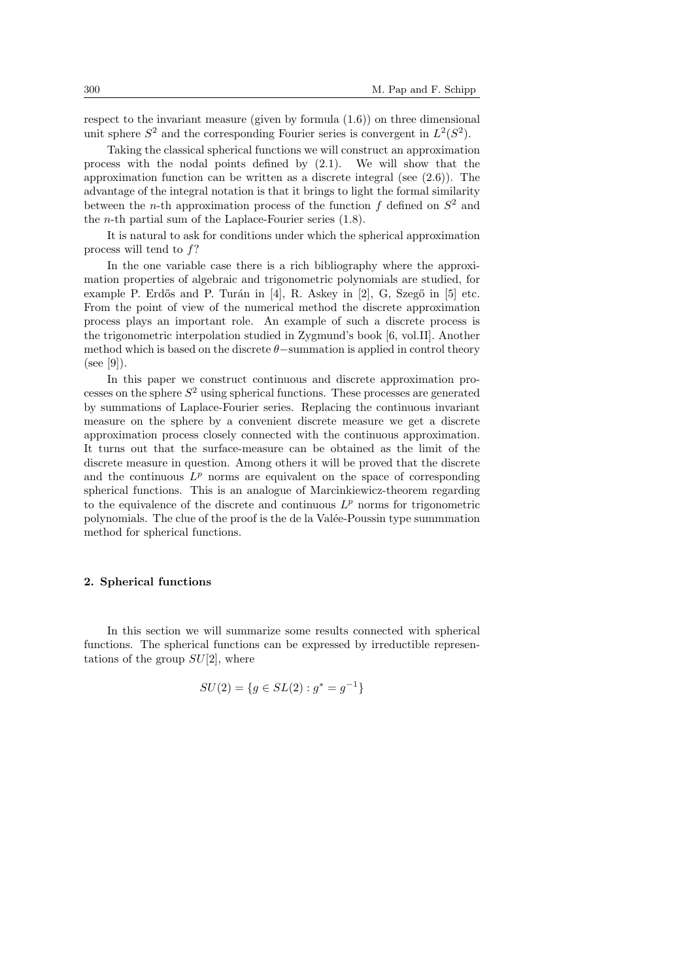respect to the invariant measure (given by formula (1.6)) on three dimensional unit sphere  $S^2$  and the corresponding Fourier series is convergent in  $L^2(S^2)$ .

Taking the classical spherical functions we will construct an approximation process with the nodal points defined by (2.1). We will show that the approximation function can be written as a discrete integral (see (2.6)). The advantage of the integral notation is that it brings to light the formal similarity between the *n*-th approximation process of the function  $f$  defined on  $S^2$  and the *n*-th partial sum of the Laplace-Fourier series  $(1.8)$ .

It is natural to ask for conditions under which the spherical approximation process will tend to f?

In the one variable case there is a rich bibliography where the approximation properties of algebraic and trigonometric polynomials are studied, for example P. Erdős and P. Turán in  $[4]$ , R. Askey in  $[2]$ , G. Szegő in  $[5]$  etc. From the point of view of the numerical method the discrete approximation process plays an important role. An example of such a discrete process is the trigonometric interpolation studied in Zygmund's book [6, vol.II]. Another method which is based on the discrete  $\theta$  –summation is applied in control theory  $(see [9]).$ 

In this paper we construct continuous and discrete approximation processes on the sphere  $S<sup>2</sup>$  using spherical functions. These processes are generated by summations of Laplace-Fourier series. Replacing the continuous invariant measure on the sphere by a convenient discrete measure we get a discrete approximation process closely connected with the continuous approximation. It turns out that the surface-measure can be obtained as the limit of the discrete measure in question. Among others it will be proved that the discrete and the continuous  $L^p$  norms are equivalent on the space of corresponding spherical functions. This is an analogue of Marcinkiewicz-theorem regarding to the equivalence of the discrete and continuous  $L^p$  norms for trigonometric polynomials. The clue of the proof is the de la Valée-Poussin type summmation method for spherical functions.

## 2. Spherical functions

In this section we will summarize some results connected with spherical functions. The spherical functions can be expressed by irreductible representations of the group  $SU(2)$ , where

$$
SU(2) = \{ g \in SL(2) : g^* = g^{-1} \}
$$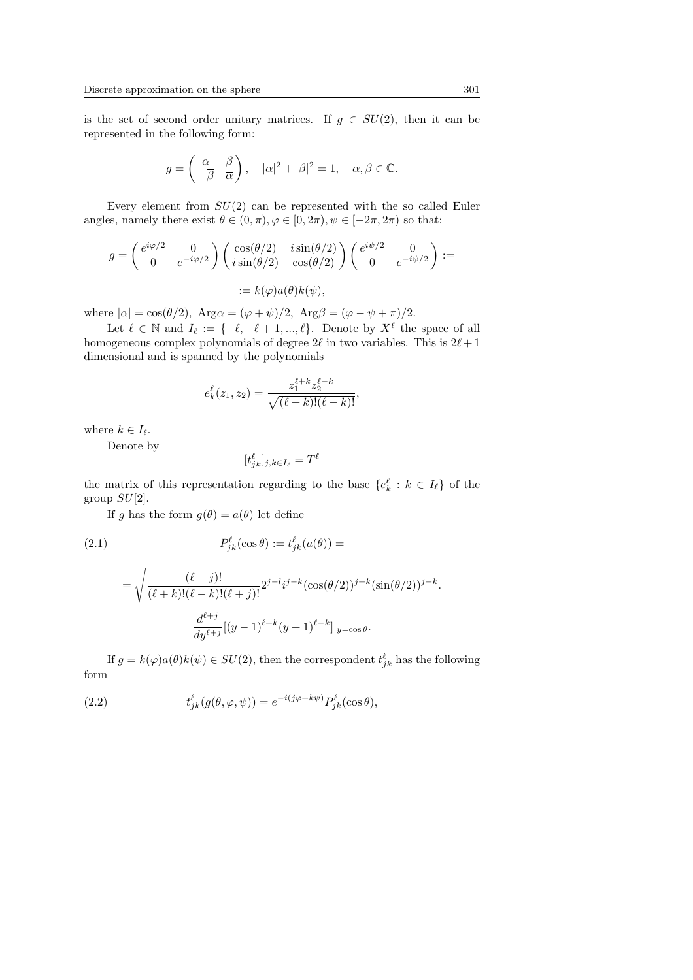is the set of second order unitary matrices. If  $g \in SU(2)$ , then it can be represented in the following form:

$$
g = \begin{pmatrix} \alpha & \beta \\ -\overline{\beta} & \overline{\alpha} \end{pmatrix}, \quad |\alpha|^2 + |\beta|^2 = 1, \quad \alpha, \beta \in \mathbb{C}.
$$

Every element from  $SU(2)$  can be represented with the so called Euler angles, namely there exist  $\theta \in (0, \pi), \varphi \in [0, 2\pi), \psi \in [-2\pi, 2\pi)$  so that:

$$
g = \begin{pmatrix} e^{i\varphi/2} & 0 \\ 0 & e^{-i\varphi/2} \end{pmatrix} \begin{pmatrix} \cos(\theta/2) & i\sin(\theta/2) \\ i\sin(\theta/2) & \cos(\theta/2) \end{pmatrix} \begin{pmatrix} e^{i\psi/2} & 0 \\ 0 & e^{-i\psi/2} \end{pmatrix} :=
$$
  

$$
:= k(\varphi)a(\theta)k(\psi),
$$

where  $|\alpha| = \cos(\theta/2)$ ,  $\text{Arg}\alpha = (\varphi + \psi)/2$ ,  $\text{Arg}\beta = (\varphi - \psi + \pi)/2$ .

Let  $\ell \in \mathbb{N}$  and  $I_{\ell} := \{-\ell, -\ell + 1, ..., \ell\}.$  Denote by  $X^{\ell}$  the space of all homogeneous complex polynomials of degree  $2\ell$  in two variables. This is  $2\ell + 1$ dimensional and is spanned by the polynomials

$$
e_k^\ell(z_1,z_2)=\frac{z_1^{\ell+k}z_2^{\ell-k}}{\sqrt{(\ell+k)!(\ell-k)!}},
$$

where  $k \in I_{\ell}$ .

Denote by

$$
[t_{jk}^{\ell}]_{j,k \in I_{\ell}} = T^{\ell}
$$

the matrix of this representation regarding to the base  $\{e_k^{\ell}: k \in I_{\ell}\}\$  of the group  $SU[2]$ .

If g has the form  $g(\theta) = a(\theta)$  let define

(2.1)  
\n
$$
P_{jk}^{\ell}(\cos \theta) := t_{jk}^{\ell}(a(\theta)) =
$$
\n
$$
= \sqrt{\frac{(\ell - j)!}{(\ell + k)!(\ell - k)!(\ell + j)!}} 2^{j - l}i^{j - k}(\cos(\theta/2))^{j + k}(\sin(\theta/2))^{j - k}.
$$
\n
$$
\frac{d^{\ell + j}}{dy^{\ell + j}}[(y - 1)^{\ell + k}(y + 1)^{\ell - k}]\Big|_{y = \cos \theta}.
$$

If  $g = k(\varphi)a(\theta)k(\psi) \in SU(2)$ , then the correspondent  $t_{jk}^{\ell}$  has the following form

(2.2) 
$$
t_{jk}^{\ell}(g(\theta,\varphi,\psi)) = e^{-i(j\varphi+k\psi)}P_{jk}^{\ell}(\cos\theta),
$$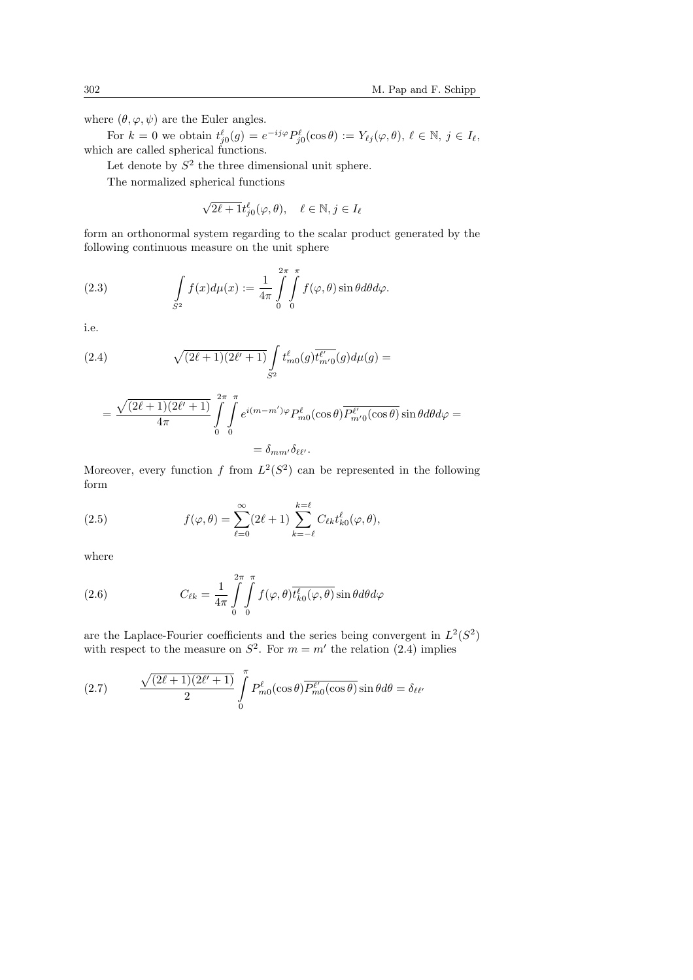where  $(\theta, \varphi, \psi)$  are the Euler angles.

For  $k = 0$  we obtain  $t_{j0}^{\ell}(g) = e^{-ij\varphi} P_{j0}^{\ell}(\cos \theta) := Y_{\ell j}(\varphi, \theta), \ \ell \in \mathbb{N}, \ j \in I_{\ell}$ , which are called spherical functions.

Let denote by  $S^2$  the three dimensional unit sphere.

The normalized spherical functions

$$
\sqrt{2\ell+1}t_{j0}^{\ell}(\varphi,\theta), \quad \ell \in \mathbb{N}, j \in I_{\ell}
$$

form an orthonormal system regarding to the scalar product generated by the following continuous measure on the unit sphere

(2.3) 
$$
\int_{S^2} f(x) d\mu(x) := \frac{1}{4\pi} \int_{0}^{2\pi} \int_{0}^{\pi} f(\varphi, \theta) \sin \theta d\theta d\varphi.
$$

i.e.

(2.4) 
$$
\sqrt{(2\ell+1)(2\ell'+1)} \int_{S^2} t_{m0}^{\ell}(g) \overline{t_{m'0}^{\ell'}}(g) d\mu(g) =
$$

$$
= \frac{\sqrt{(2\ell+1)(2\ell'+1)}}{4\pi} \int\limits_{0}^{2\pi} \int\limits_{0}^{\pi} e^{i(m-m')\varphi} P_{m0}^{\ell}(\cos\theta) \overline{P_{m'0}^{\ell'}(\cos\theta)} \sin\theta d\theta d\varphi =
$$
  
=  $\delta_{mm'}\delta_{\ell\ell'}.$ 

Moreover, every function f from  $L^2(S^2)$  can be represented in the following form

(2.5) 
$$
f(\varphi,\theta) = \sum_{\ell=0}^{\infty} (2\ell+1) \sum_{k=-\ell}^{k=\ell} C_{\ell k} t_{k0}^{\ell}(\varphi,\theta),
$$

where

(2.6) 
$$
C_{\ell k} = \frac{1}{4\pi} \int_{0}^{2\pi} \int_{0}^{\pi} f(\varphi, \theta) \overline{t_{k0}^{\ell}(\varphi, \theta)} \sin \theta d\theta d\varphi
$$

are the Laplace-Fourier coefficients and the series being convergent in  $L^2(S^2)$ with respect to the measure on  $S^2$ . For  $m = m'$  the relation (2.4) implies

(2.7) 
$$
\frac{\sqrt{(2\ell+1)(2\ell'+1)}}{2} \int_{0}^{\pi} P_{m0}^{\ell}(\cos \theta) \overline{P_{m0}^{\ell'}(\cos \theta)} \sin \theta d\theta = \delta_{\ell \ell'}
$$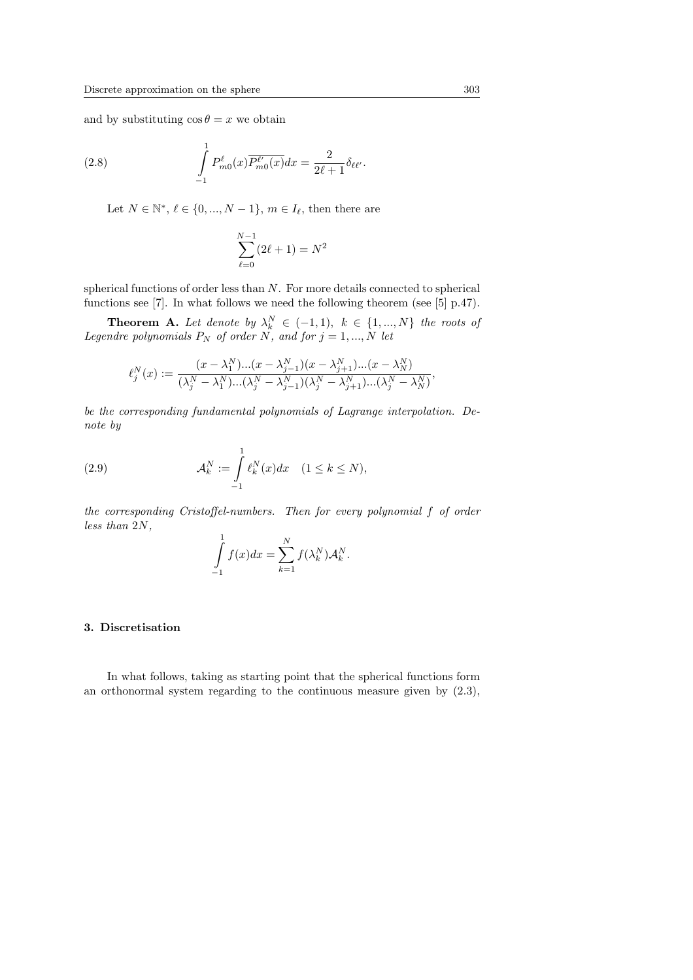and by substituting  $\cos \theta = x$  we obtain

(2.8) 
$$
\int_{-1}^{1} P_{m0}^{\ell}(x) \overline{P_{m0}^{\ell'}(x)} dx = \frac{2}{2\ell + 1} \delta_{\ell\ell'}.
$$

Let  $N \in \mathbb{N}^*, \ell \in \{0, ..., N-1\}, m \in I_{\ell}$ , then there are

$$
\sum_{\ell=0}^{N-1} (2\ell + 1) = N^2
$$

spherical functions of order less than N. For more details connected to spherical functions see [7]. In what follows we need the following theorem (see [5] p.47).

**Theorem A.** Let denote by  $\lambda_k^N \in (-1,1)$ ,  $k \in \{1,...,N\}$  the roots of Legendre polynomials  $P_N$  of order N, and for  $j = 1, ..., N$  let

$$
\ell_j^N(x) := \frac{(x - \lambda_1^N)...(x - \lambda_{j-1}^N)(x - \lambda_{j+1}^N)...(x - \lambda_N^N)}{(\lambda_j^N - \lambda_1^N)...(\lambda_j^N - \lambda_{j-1}^N)(\lambda_j^N - \lambda_{j+1}^N)...(\lambda_j^N - \lambda_N^N)},
$$

be the corresponding fundamental polynomials of Lagrange interpolation. Denote by

(2.9) 
$$
\mathcal{A}_k^N := \int_{-1}^1 \ell_k^N(x) dx \quad (1 \le k \le N),
$$

the corresponding Cristoffel-numbers. Then for every polynomial f of order less than 2N,

$$
\int_{-1}^{1} f(x)dx = \sum_{k=1}^{N} f(\lambda_k^N) \mathcal{A}_k^N.
$$

## 3. Discretisation

In what follows, taking as starting point that the spherical functions form an orthonormal system regarding to the continuous measure given by (2.3),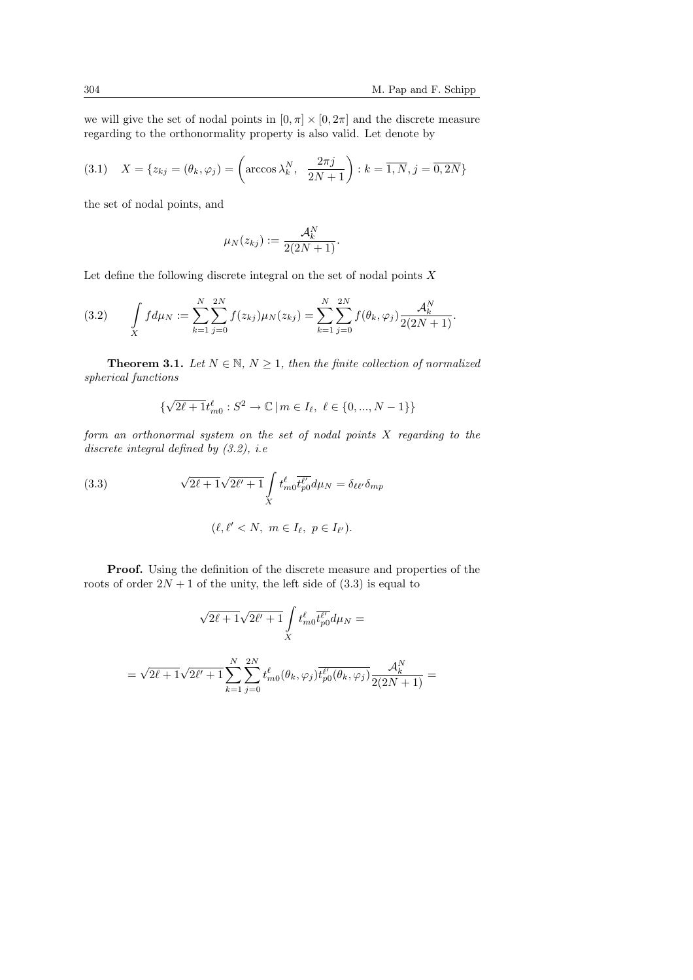we will give the set of nodal points in  $[0, \pi] \times [0, 2\pi]$  and the discrete measure regarding to the orthonormality property is also valid. Let denote by

(3.1) 
$$
X = \{z_{kj} = (\theta_k, \varphi_j) = \left(\arccos \lambda_k^N, \frac{2\pi j}{2N+1}\right) : k = \overline{1, N}, j = \overline{0, 2N}\}
$$

the set of nodal points, and

$$
\mu_N(z_{kj}) := \frac{\mathcal{A}_k^N}{2(2N+1)}.
$$

Let define the following discrete integral on the set of nodal points  $X$ 

(3.2) 
$$
\int\limits_X f d\mu_N := \sum_{k=1}^N \sum_{j=0}^{2N} f(z_{kj}) \mu_N(z_{kj}) = \sum_{k=1}^N \sum_{j=0}^{2N} f(\theta_k, \varphi_j) \frac{\mathcal{A}_k^N}{2(2N+1)}.
$$

**Theorem 3.1.** Let  $N \in \mathbb{N}$ ,  $N \geq 1$ , then the finite collection of normalized spherical functions

$$
\{\sqrt{2\ell+1}t_{m0}^{\ell}: S^2\to\mathbb{C}\,|\,m\in I_{\ell},\ \ell\in\{0,...,N-1\}\}
$$

form an orthonormal system on the set of nodal points X regarding to the discrete integral defined by  $(3.2)$ , i.e

(3.3) 
$$
\sqrt{2\ell+1}\sqrt{2\ell'+1}\int\limits_X t_{m0}^{\ell} \overline{t_{p0}^{\ell'}} d\mu_N = \delta_{\ell\ell'}\delta_{mp}
$$

$$
(\ell, \ell' < N, m \in I_{\ell}, p \in I_{\ell'}).
$$

Proof. Using the definition of the discrete measure and properties of the roots of order  $2N + 1$  of the unity, the left side of  $(3.3)$  is equal to

$$
\sqrt{2\ell+1}\sqrt{2\ell'+1}\int_{X} t_{m0}^{\ell} \overline{t_{p0}^{\ell'}} d\mu_{N} =
$$
  
=  $\sqrt{2\ell+1}\sqrt{2\ell'+1}\sum_{k=1}^{N} \sum_{j=0}^{2N} t_{m0}^{\ell}(\theta_k, \varphi_j) \overline{t_{p0}^{\ell'}(\theta_k, \varphi_j)} \frac{\mathcal{A}_k^{N}}{2(2N+1)} =$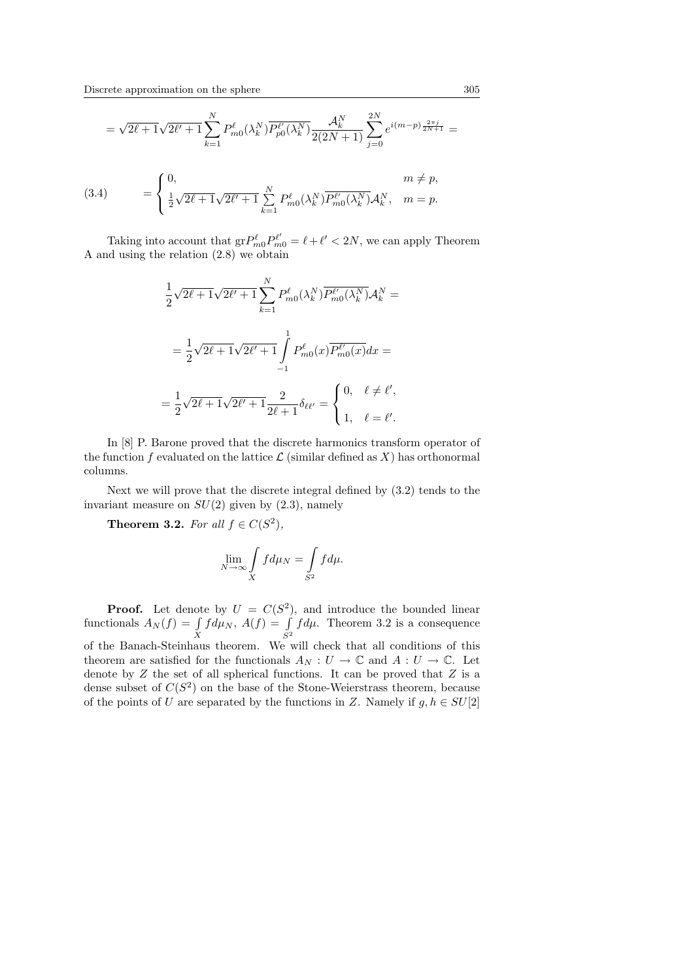$$
=\sqrt{2\ell+1}\sqrt{2\ell'+1}\sum_{k=1}^N{\cal P}^\ell_{m0}(\lambda_k^N)\overline{{\cal P}^{\ell'}_{p0}(\lambda_k^N)}\frac{{\cal A}^N_k}{2(2N+1)}\sum_{j=0}^{2N}e^{i(m-p)\frac{2\pi j}{2N+1}}=
$$

(3.4) 
$$
= \begin{cases} 0, & m \neq p, \\ \frac{1}{2}\sqrt{2\ell+1}\sqrt{2\ell'+1} \sum_{k=1}^{N} P_{m0}^{\ell}(\lambda_{k}^{N}) \overline{P_{m0}^{\ell'}(\lambda_{k}^{N})} \mathcal{A}_{k}^{N}, & m = p. \end{cases}
$$

Taking into account that  $grP_{m0}^{\ell}P_{m0}^{\ell'} = \ell + \ell' < 2N$ , we can apply Theorem A and using the relation (2.8) we obtain

$$
\frac{1}{2}\sqrt{2\ell+1}\sqrt{2\ell'+1}\sum_{k=1}^{N}P_{m0}^{\ell}(\lambda_{k}^{N})\overline{P_{m0}^{\ell'}(\lambda_{k}^{N})}\mathcal{A}_{k}^{N} =
$$
\n
$$
= \frac{1}{2}\sqrt{2\ell+1}\sqrt{2\ell'+1}\int_{-1}^{1}P_{m0}^{\ell}(x)\overline{P_{m0}^{\ell'}(x)}dx =
$$
\n
$$
= \frac{1}{2}\sqrt{2\ell+1}\sqrt{2\ell'+1}\frac{2}{2\ell+1}\delta_{\ell\ell'} = \begin{cases} 0, & \ell \neq \ell', \\ 1, & \ell = \ell'. \end{cases}
$$

In [8] P. Barone proved that the discrete harmonics transform operator of the function f evaluated on the lattice  $\mathcal L$  (similar defined as X) has orthonormal columns.

Next we will prove that the discrete integral defined by (3.2) tends to the invariant measure on  $SU(2)$  given by  $(2.3)$ , namely

**Theorem 3.2.** For all  $f \in C(S^2)$ ,

$$
\lim_{N \to \infty} \int\limits_X f d\mu_N = \int\limits_{S^2} f d\mu.
$$

**Proof.** Let denote by  $U = C(S^2)$ , and introduce the bounded linear **Proof.** Let denote by  $U = C(S^2)$ <br>functionals  $A_N(f) = \int_X f d\mu_N$ ,  $A(f) = \int_{S^2}$  $S<sup>2</sup>$  $fd\mu$ . Theorem 3.2 is a consequence of the Banach-Steinhaus theorem. We will check that all conditions of this theorem are satisfied for the functionals  $A_N: U \to \mathbb{C}$  and  $A: U \to \mathbb{C}$ . Let denote by  $Z$  the set of all spherical functions. It can be proved that  $Z$  is a dense subset of  $C(S^2)$  on the base of the Stone-Weierstrass theorem, because of the points of U are separated by the functions in Z. Namely if  $g, h \in SU[2]$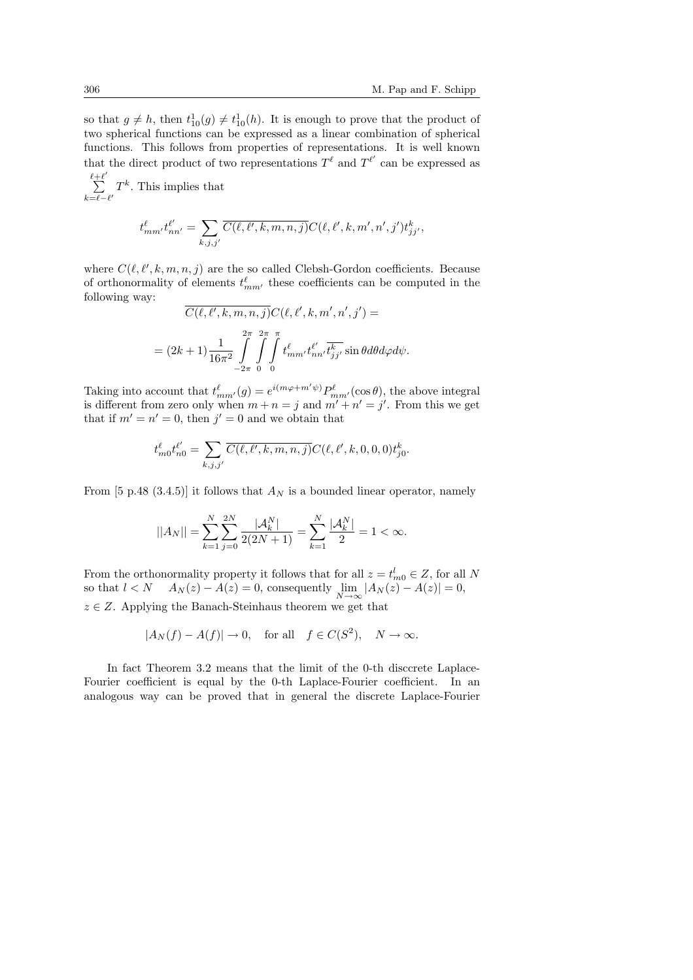so that  $g \neq h$ , then  $t_{10}^1(g) \neq t_{10}^1(h)$ . It is enough to prove that the product of two spherical functions can be expressed as a linear combination of spherical functions. This follows from properties of representations. It is well known that the direct product of two representations  $T^{\ell}$  and  $T^{\ell'}$  can be expressed as

 $\stackrel{\ell+\ell'}{\longleftarrow}$  $\sum_{k=\ell-\ell'} T^k$ . This implies that

$$
t_{mm'}^{\ell}t_{nn'}^{\ell'} = \sum_{k,j,j'} \overline{C(\ell,\ell',k,m,n,j)} C(\ell,\ell',k,m',n',j') t_{jj'}^{k},
$$

where  $C(\ell, \ell', k, m, n, j)$  are the so called Clebsh-Gordon coefficients. Because of orthonormality of elements  $t_{mm'}^{\ell}$  these coefficients can be computed in the following way:

$$
\overline{C(\ell, \ell', k, m, n, j)} C(\ell, \ell', k, m', n', j') =
$$
  
= 
$$
(2k+1) \frac{1}{16\pi^2} \int_{-2\pi}^{2\pi} \int_{0}^{\pi} \int_{0}^{\ell} t_{mm'}^{\ell} t_{nn'}^{\ell'} t_{jj'}^{\overline{k'}} \sin \theta d\theta d\varphi d\psi.
$$

Taking into account that  $t_{mm'}^{\ell}(g) = e^{i(m\varphi + m'\psi)} P_{mm'}^{\ell}(\cos\theta)$ , the above integral is different from zero only when  $m + n = j$  and  $m' + n' = j'$ . From this we get that if  $m' = n' = 0$ , then  $j' = 0$  and we obtain that

$$
t_{m0}^{\ell}t_{n0}^{\ell'} = \sum_{k,j,j'} \overline{C(\ell,\ell',k,m,n,j)} C(\ell,\ell',k,0,0,0) t_{j0}^k.
$$

From [5 p.48 (3.4.5)] it follows that  $A_N$  is a bounded linear operator, namely

$$
||A_N|| = \sum_{k=1}^{N} \sum_{j=0}^{2N} \frac{|\mathcal{A}_k^N|}{2(2N+1)} = \sum_{k=1}^{N} \frac{|\mathcal{A}_k^N|}{2} = 1 < \infty.
$$

From the orthonormality property it follows that for all  $z = t_{m0}^l \in Z$ , for all N so that  $l < N$   $A_N(z) - A(z) = 0$ , consequently  $\lim_{N \to \infty} |A_N(z) - A(z)| = 0$ ,  $z \in Z$ . Applying the Banach-Steinhaus theorem we get that

$$
|A_N(f) - A(f)| \to 0
$$
, for all  $f \in C(S^2)$ ,  $N \to \infty$ .

In fact Theorem 3.2 means that the limit of the 0-th disccrete Laplace-Fourier coefficient is equal by the 0-th Laplace-Fourier coefficient. In an analogous way can be proved that in general the discrete Laplace-Fourier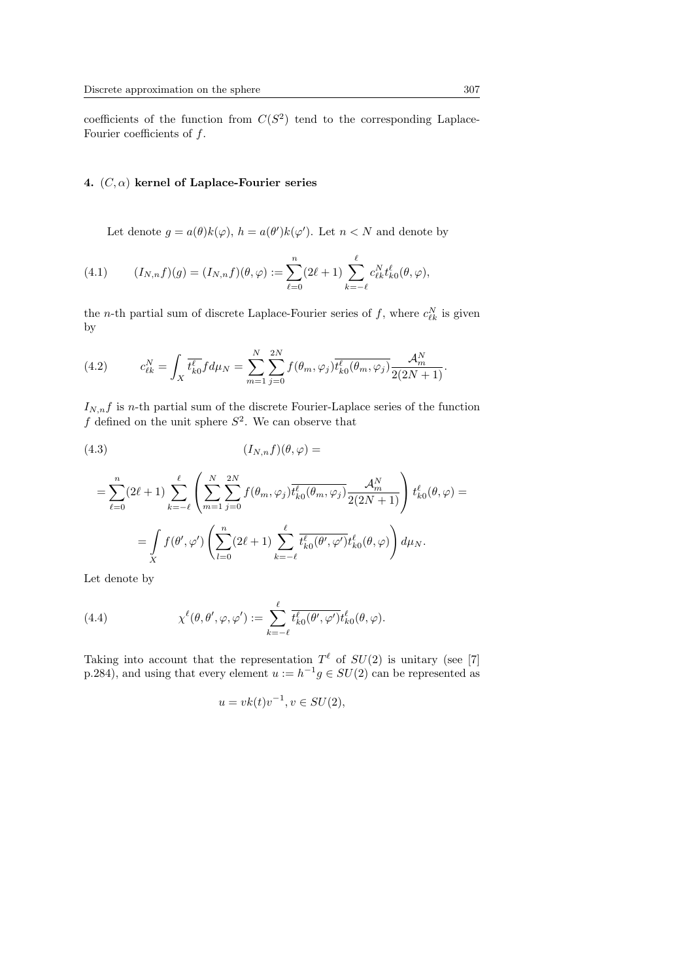coefficients of the function from  $C(S^2)$  tend to the corresponding Laplace-Fourier coefficients of  $f$ .

# 4.  $(C, \alpha)$  kernel of Laplace-Fourier series

Let denote  $g = a(\theta)k(\varphi)$ ,  $h = a(\theta')k(\varphi')$ . Let  $n < N$  and denote by

(4.1) 
$$
(I_{N,n}f)(g) = (I_{N,n}f)(\theta, \varphi) := \sum_{\ell=0}^{n} (2\ell+1) \sum_{k=-\ell}^{\ell} c_{\ell k}^{N} t_{k0}^{\ell}(\theta, \varphi),
$$

the *n*-th partial sum of discrete Laplace-Fourier series of f, where  $c_{\ell k}^N$  is given by

(4.2) 
$$
c_{\ell k}^N = \int_X \overline{t_{k0}^{\ell}} f d\mu_N = \sum_{m=1}^N \sum_{j=0}^{2N} f(\theta_m, \varphi_j) \overline{t_{k0}^{\ell}(\theta_m, \varphi_j)} \frac{\mathcal{A}_m^N}{2(2N+1)}.
$$

 $I_{N,n}f$  is *n*-th partial sum of the discrete Fourier-Laplace series of the function f defined on the unit sphere  $S^2$ . We can observe that

(4.3) (IN,nf)(θ, ϕ) =

$$
= \sum_{\ell=0}^{n} (2\ell+1) \sum_{k=-\ell}^{\ell} \left( \sum_{m=1}^{N} \sum_{j=0}^{2N} f(\theta_m, \varphi_j) \overline{t_{k0}^{\ell}(\theta_m, \varphi_j)} \frac{\mathcal{A}_m^N}{2(2N+1)} \right) t_{k0}^{\ell}(\theta, \varphi) =
$$
  

$$
= \int_{X} f(\theta', \varphi') \left( \sum_{l=0}^{n} (2\ell+1) \sum_{k=-\ell}^{\ell} \overline{t_{k0}^{\ell}(\theta', \varphi')} t_{k0}^{\ell}(\theta, \varphi) \right) d\mu_N.
$$

Let denote by

(4.4) 
$$
\chi^{\ell}(\theta,\theta',\varphi,\varphi') := \sum_{k=-\ell}^{\ell} \overline{t_{k0}^{\ell}(\theta',\varphi')} t_{k0}^{\ell}(\theta,\varphi).
$$

Taking into account that the representation  $T^{\ell}$  of  $SU(2)$  is unitary (see [7] p.284), and using that every element  $u := h^{-1}g \in SU(2)$  can be represented as

$$
u = vk(t)v^{-1}, v \in SU(2),
$$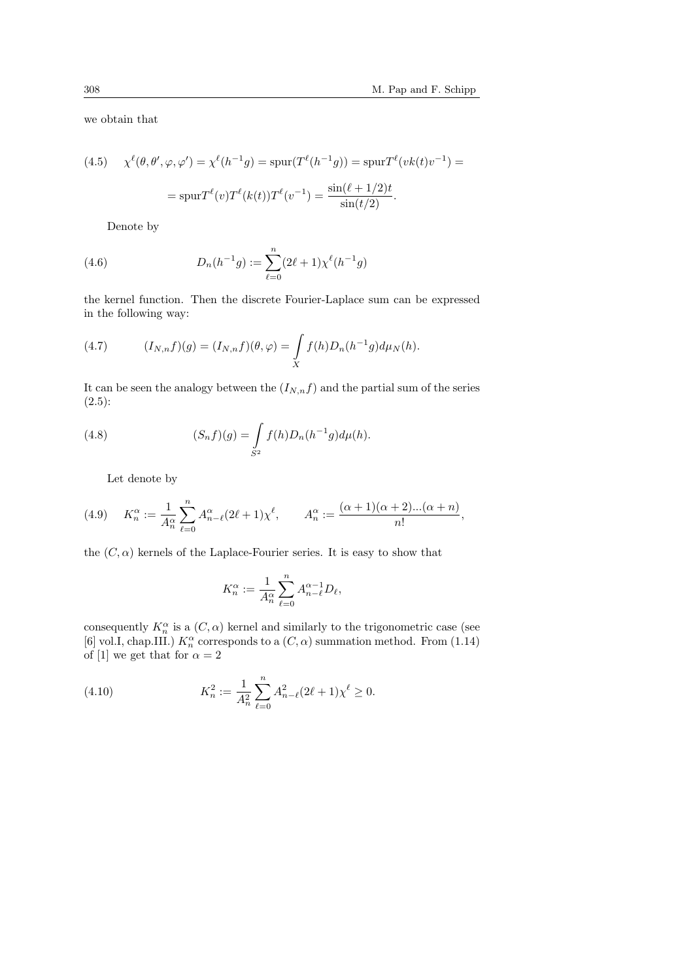we obtain that

(4.5) 
$$
\chi^{\ell}(\theta, \theta', \varphi, \varphi') = \chi^{\ell}(h^{-1}g) = \text{spur}(T^{\ell}(h^{-1}g)) = \text{spur}T^{\ell}(vk(t)v^{-1}) =
$$

$$
= \text{spur}T^{\ell}(v)T^{\ell}(k(t))T^{\ell}(v^{-1}) = \frac{\sin(\ell + 1/2)t}{\sin(t/2)}.
$$

Denote by

(4.6) 
$$
D_n(h^{-1}g) := \sum_{\ell=0}^n (2\ell+1) \chi^{\ell}(h^{-1}g)
$$

the kernel function. Then the discrete Fourier-Laplace sum can be expressed in the following way:

(4.7) 
$$
(I_{N,n}f)(g) = (I_{N,n}f)(\theta, \varphi) = \int\limits_X f(h)D_n(h^{-1}g)d\mu_N(h).
$$

It can be seen the analogy between the  $(I_{N,n}f)$  and the partial sum of the series  $(2.5):$ 

(4.8) 
$$
(S_n f)(g) = \int_{S^2} f(h) D_n(h^{-1}g) d\mu(h).
$$

Let denote by

(4.9) 
$$
K_n^{\alpha} := \frac{1}{A_n^{\alpha}} \sum_{\ell=0}^n A_{n-\ell}^{\alpha} (2\ell+1) \chi^{\ell}, \qquad A_n^{\alpha} := \frac{(\alpha+1)(\alpha+2)...(\alpha+n)}{n!},
$$

the  $(C, \alpha)$  kernels of the Laplace-Fourier series. It is easy to show that

$$
K_n^{\alpha} := \frac{1}{A_n^{\alpha}} \sum_{\ell=0}^n A_{n-\ell}^{\alpha-1} D_{\ell},
$$

consequently  $K_n^{\alpha}$  is a  $(C, \alpha)$  kernel and similarly to the trigonometric case (see [6] vol.I, chap.III.)  $K_n^{\alpha}$  corresponds to a  $(C, \alpha)$  summation method. From (1.14) of [1] we get that for  $\alpha = 2$ 

(4.10) 
$$
K_n^2 := \frac{1}{A_n^2} \sum_{\ell=0}^n A_{n-\ell}^2 (2\ell+1) \chi^{\ell} \ge 0.
$$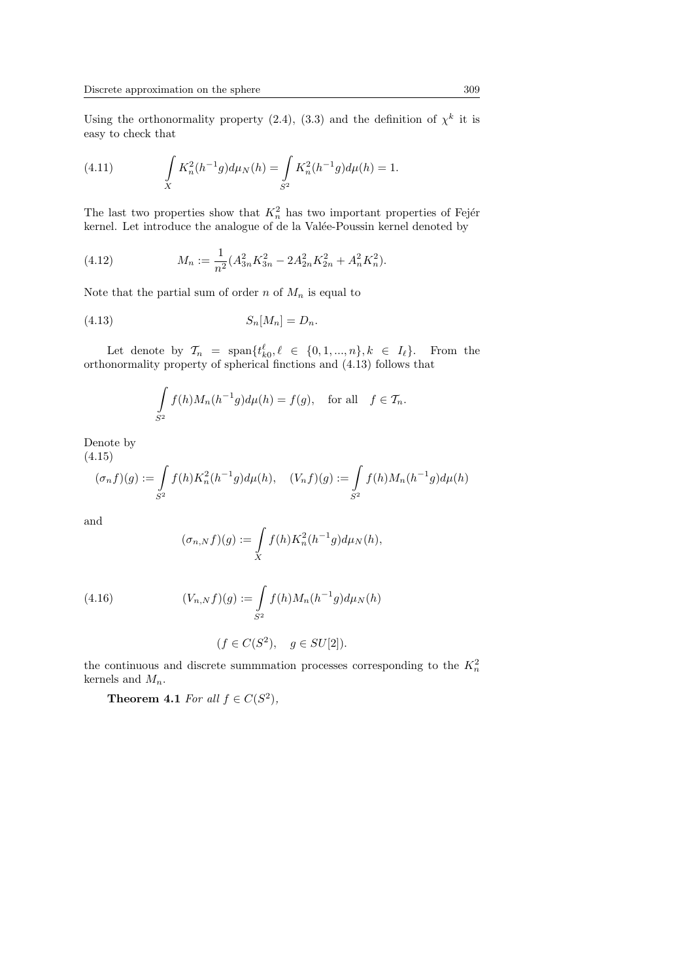Using the orthonormality property (2.4), (3.3) and the definition of  $\chi^k$  it is easy to check that

(4.11) 
$$
\int_{X} K_n^2(h^{-1}g) d\mu_N(h) = \int_{S^2} K_n^2(h^{-1}g) d\mu(h) = 1.
$$

The last two properties show that  $K_n^2$  has two important properties of Fejér kernel. Let introduce the analogue of de la Valée-Poussin kernel denoted by

(4.12) 
$$
M_n := \frac{1}{n^2} (A_{3n}^2 K_{3n}^2 - 2A_{2n}^2 K_{2n}^2 + A_n^2 K_n^2).
$$

Note that the partial sum of order n of  $M_n$  is equal to

$$
(4.13) \t\t S_n[M_n] = D_n.
$$

Let denote by  $\mathcal{T}_n = \text{span}\{t_{k0}^{\ell}, \ell \in \{0, 1, ..., n\}, k \in I_{\ell}\}.$  From the orthonormality property of spherical finctions and (4.13) follows that

$$
\int_{S^2} f(h)M_n(h^{-1}g)d\mu(h) = f(g), \text{ for all } f \in \mathcal{T}_n.
$$

Denote by (4.15)

$$
(\sigma_n f)(g) := \int_{S^2} f(h) K_n^2(h^{-1}g) d\mu(h), \quad (V_n f)(g) := \int_{S^2} f(h) M_n(h^{-1}g) d\mu(h)
$$

and

$$
(\sigma_{n,N}f)(g) := \int\limits_X f(h)K_n^2(h^{-1}g)d\mu_N(h),
$$

(4.16) 
$$
(V_{n,N}f)(g) := \int_{S^2} f(h)M_n(h^{-1}g)d\mu_N(h)
$$

$$
(f \in C(S^2), \quad g \in SU[2]).
$$

the continuous and discrete summmation processes corresponding to the  $K_n^2$ kernels and  $M_n$ .

**Theorem 4.1** For all  $f \in C(S^2)$ ,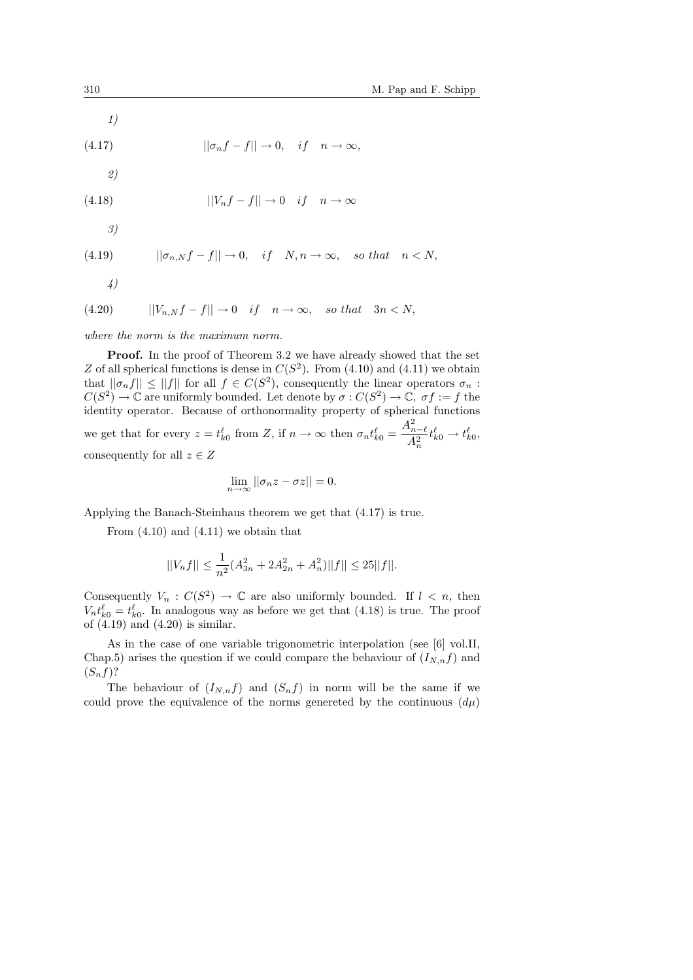1)

(4.17) 
$$
||\sigma_n f - f|| \to 0, \quad if \quad n \to \infty,
$$

2)

(4.18) 
$$
||V_nf-f|| \to 0 \quad if \quad n \to \infty
$$

3)

(4.19) 
$$
||\sigma_{n,N}f-f|| \to 0, \quad if \quad N, n \to \infty, \quad so \; that \quad n < N,
$$

4)

$$
(4.20) \t\t ||V_{n,N}f-f|| \to 0 \t if \t n \to \infty, \t so that \t 3n < N,
$$

where the norm is the maximum norm.

Proof. In the proof of Theorem 3.2 we have already showed that the set Z of all spherical functions is dense in  $C(S^2)$ . From (4.10) and (4.11) we obtain that  $||\sigma_n f|| \le ||f||$  for all  $f \in C(S^2)$ , consequently the linear operators  $\sigma_n$ :  $C(S^2) \to \mathbb{C}$  are uniformly bounded. Let denote by  $\sigma : C(S^2) \to \mathbb{C}$ ,  $\sigma f := f$  the identity operator. Because of orthonormality property of spherical functions we get that for every  $z = t_{k0}^{\ell}$  from Z, if  $n \to \infty$  then  $\sigma_n t_{k0}^{\ell} =$  $A_{n-\ell}^2$  $A_n^2$  $t_{k0}^{\ell} \rightarrow t_{k0}^{\ell},$ consequently for all  $z \in Z$ 

$$
\lim_{n \to \infty} ||\sigma_n z - \sigma z|| = 0.
$$

Applying the Banach-Steinhaus theorem we get that (4.17) is true.

From  $(4.10)$  and  $(4.11)$  we obtain that

$$
||V_nf|| \leq \frac{1}{n^2}(A_{3n}^2 + 2A_{2n}^2 + A_n^2)||f|| \leq 25||f||.
$$

Consequently  $V_n : C(S^2) \to \mathbb{C}$  are also uniformly bounded. If  $l \leq n$ , then  $V_n t_{k0}^{\ell} = t_{k0}^{\ell}$ . In analogous way as before we get that (4.18) is true. The proof of  $(4.19)$  and  $(4.20)$  is similar.

As in the case of one variable trigonometric interpolation (see [6] vol.II, Chap.5) arises the question if we could compare the behaviour of  $(I_{N,n}f)$  and  $(S_n f)$ ?

The behaviour of  $(I_{N,n}f)$  and  $(S_nf)$  in norm will be the same if we could prove the equivalence of the norms genereted by the continuous  $(d\mu)$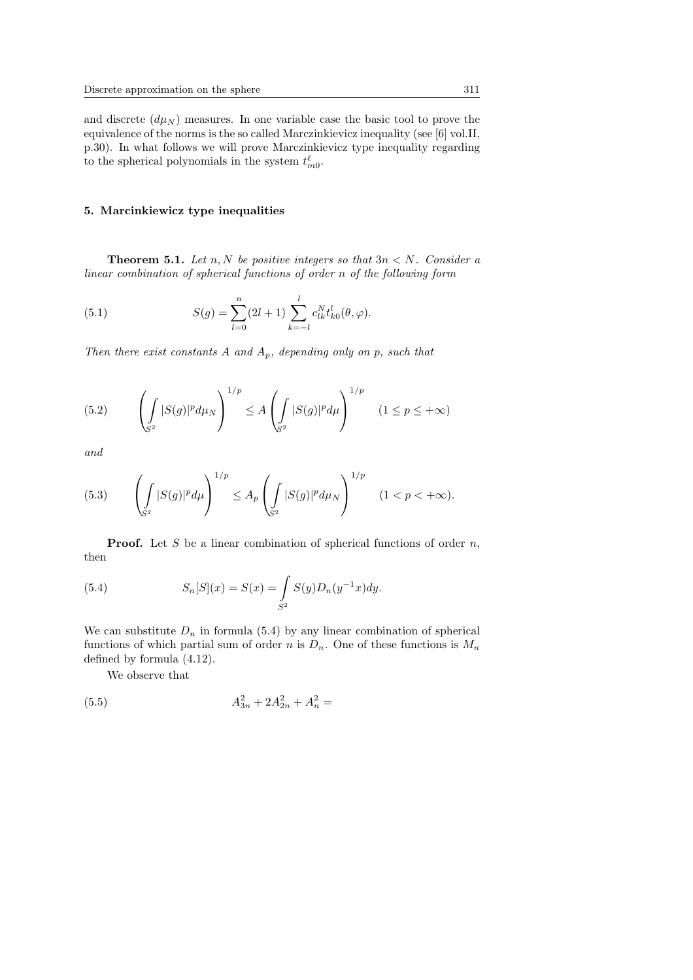and discrete  $(d\mu_N)$  measures. In one variable case the basic tool to prove the equivalence of the norms is the so called Marczinkievicz inequality (see [6] vol.II, p.30). In what follows we will prove Marczinkievicz type inequality regarding to the spherical polynomials in the system  $t_{m0}^{\ell}$ .

## 5. Marcinkiewicz type inequalities

**Theorem 5.1.** Let n, N be positive integers so that  $3n < N$ . Consider a linear combination of spherical functions of order n of the following form

(5.1) 
$$
S(g) = \sum_{l=0}^{n} (2l+1) \sum_{k=-l}^{l} c_{lk}^{N} t_{k0}^{l}(\theta, \varphi).
$$

Then there exist constants A and  $A_p$ , depending only on p, such that

(5.2) 
$$
\left(\int_{S^2} |S(g)|^p d\mu_N\right)^{1/p} \le A \left(\int_{S^2} |S(g)|^p d\mu\right)^{1/p} \quad (1 \le p \le +\infty)
$$

and

(5.3) 
$$
\left(\int_{S^2} |S(g)|^p d\mu\right)^{1/p} \leq A_p \left(\int_{S^2} |S(g)|^p d\mu_N\right)^{1/p} \quad (1 < p < +\infty).
$$

**Proof.** Let S be a linear combination of spherical functions of order  $n$ , then

(5.4) 
$$
S_n[S](x) = S(x) = \int_{S^2} S(y)D_n(y^{-1}x)dy.
$$

We can substitute  $D_n$  in formula (5.4) by any linear combination of spherical functions of which partial sum of order n is  $D_n$ . One of these functions is  $M_n$ defined by formula (4.12).

We observe that

(5.5) 
$$
A_{3n}^2 + 2A_{2n}^2 + A_n^2 =
$$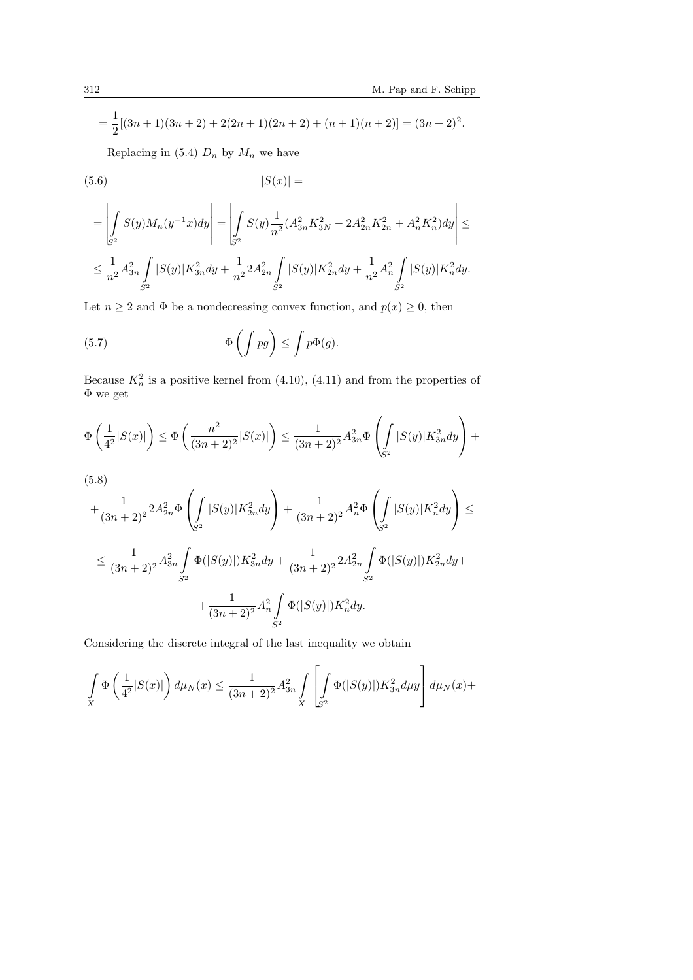$$
= \frac{1}{2}[(3n+1)(3n+2) + 2(2n+1)(2n+2) + (n+1)(n+2)] = (3n+2)^2.
$$

Replacing in (5.4)  $D_n$  by  $M_n$  we have

$$
(5.6)\qquad \qquad |S(x)| =
$$

$$
\begin{aligned}&\qquad=\left|\int\limits_{\mathbb{S}^2}S(y)M_n(y^{-1}x)dy\right|=\left|\int\limits_{\mathbb{S}^2}S(y)\frac{1}{n^2}(A_{3n}^2K_{3N}^2-2A_{2n}^2K_{2n}^2+A_n^2K_n^2)dy\right|\leq\\ &\leq\frac{1}{n^2}A_{3n}^2\int\limits_{S^2}|S(y)|K_{3n}^2dy+\frac{1}{n^2}2A_{2n}^2\int\limits_{S^2}|S(y)|K_{2n}^2dy+\frac{1}{n^2}A_n^2\int\limits_{S^2}|S(y)|K_n^2dy.\end{aligned}
$$

Let  $n \geq 2$  and  $\Phi$  be a nondecreasing convex function, and  $p(x) \geq 0$ , then

(5.7) 
$$
\Phi\left(\int pg\right) \leq \int p\Phi(g).
$$

Because  $K_n^2$  is a positive kernel from (4.10), (4.11) and from the properties of Φ we get

$$
\Phi\left(\frac{1}{4^2}|S(x)|\right) \le \Phi\left(\frac{n^2}{(3n+2)^2}|S(x)|\right) \le \frac{1}{(3n+2)^2}A_{3n}^2\Phi\left(\int\limits_{S^2}|S(y)|K_{3n}^2dy\right) +
$$

$$
(5.8)
$$
\n
$$
+\frac{1}{(3n+2)^2} 2A_{2n}^2 \Phi \left( \int_{S^2} |S(y)| K_{2n}^2 dy \right) + \frac{1}{(3n+2)^2} A_n^2 \Phi \left( \int_{S^2} |S(y)| K_n^2 dy \right) \le
$$
\n
$$
\le \frac{1}{(3n+2)^2} A_{3n}^2 \int_{S^2} \Phi(|S(y)|) K_{3n}^2 dy + \frac{1}{(3n+2)^2} 2A_{2n}^2 \int_{S^2} \Phi(|S(y)|) K_{2n}^2 dy + \frac{1}{(3n+2)^2} A_n^2 \int_{S^2} \Phi(|S(y)|) K_n^2 dy.
$$

Considering the discrete integral of the last inequality we obtain

$$
\int\limits_X \Phi\left( \frac{1}{4^2} |S(x)| \right) d\mu_N(x) \leq \frac{1}{(3n+2)^2} A_{3n}^2 \int\limits_X \left[ \int\limits_{S^2} \Phi(|S(y)|) K_{3n}^2 d\mu y \right] d\mu_N(x) +
$$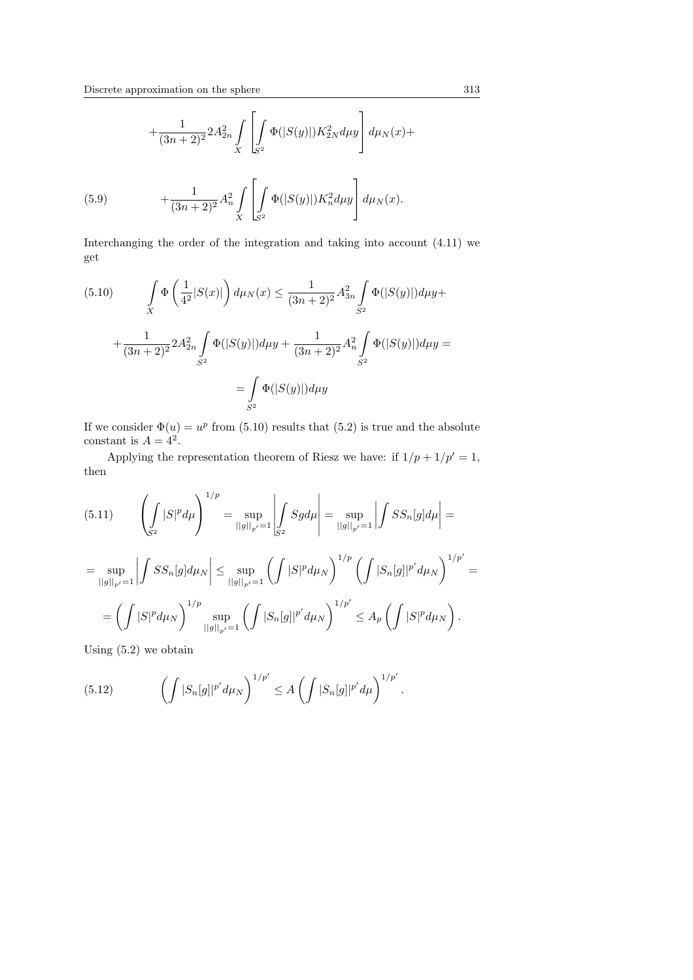$$
+\frac{1}{(3n+2)^2} 2A_{2n}^2 \int\limits_X \left[ \int\limits_{S^2} \Phi(|S(y)|) K_{2N}^2 d\mu y \right] d\mu_N(x) +
$$

(5.9) 
$$
+\frac{1}{(3n+2)^2}A_n^2\int\limits_X\left[\int\limits_{S^2}\Phi(|S(y)|)K_n^2d\mu y\right]d\mu_N(x).
$$

Interchanging the order of the integration and taking into account (4.11) we get

(5.10) 
$$
\int_{X} \Phi\left(\frac{1}{4^2}|S(x)|\right) d\mu_N(x) \le \frac{1}{(3n+2)^2} A_{3n}^2 \int_{S^2} \Phi(|S(y)|) d\mu y +
$$

$$
+ \frac{1}{(3n+2)^2} 2A_{2n}^2 \int_{S^2} \Phi(|S(y)|) d\mu y + \frac{1}{(3n+2)^2} A_n^2 \int_{S^2} \Phi(|S(y)|) d\mu y =
$$

$$
= \int_{S^2} \Phi(|S(y)|) d\mu y
$$

If we consider  $\Phi(u) = u^p$  from (5.10) results that (5.2) is true and the absolute constant is  $A = 4^2$ .

Applying the representation theorem of Riesz we have: if  $1/p + 1/p' = 1$ , then

(5.11) 
$$
\left(\int_{S^2} |S|^p d\mu\right)^{1/p} = \sup_{||g||_{p'}=1} \left|\int_{S^2} Sg d\mu\right| = \sup_{||g||_{p'}=1} \left|\int_{S^2} Sg_{n}[g] d\mu\right| =
$$

$$
= \sup_{||g||_{p'}=1} \left|\int_{S^2} Sg_{n}[g] d\mu_{N}\right| \le \sup_{||g||_{p'}=1} \left(\int_{S^2} |S|^p d\mu_{N}\right)^{1/p} \left(\int_{S^2} |S_n[g]|^{p'} d\mu_{N}\right)^{1/p'} =
$$

$$
= \left( \int |S|^p d\mu_N \right)^{1/p} \sup_{||g||_{p'}=1} \left( \int |S_n[g]|^{p'} d\mu_N \right)^{1/p'} \leq A_p \left( \int |S|^p d\mu_N \right).
$$

Using (5.2) we obtain

(5.12) 
$$
\left(\int |S_n[g]|^{p'} d\mu_N\right)^{1/p'} \leq A \left(\int |S_n[g]|^{p'} d\mu\right)^{1/p'}.
$$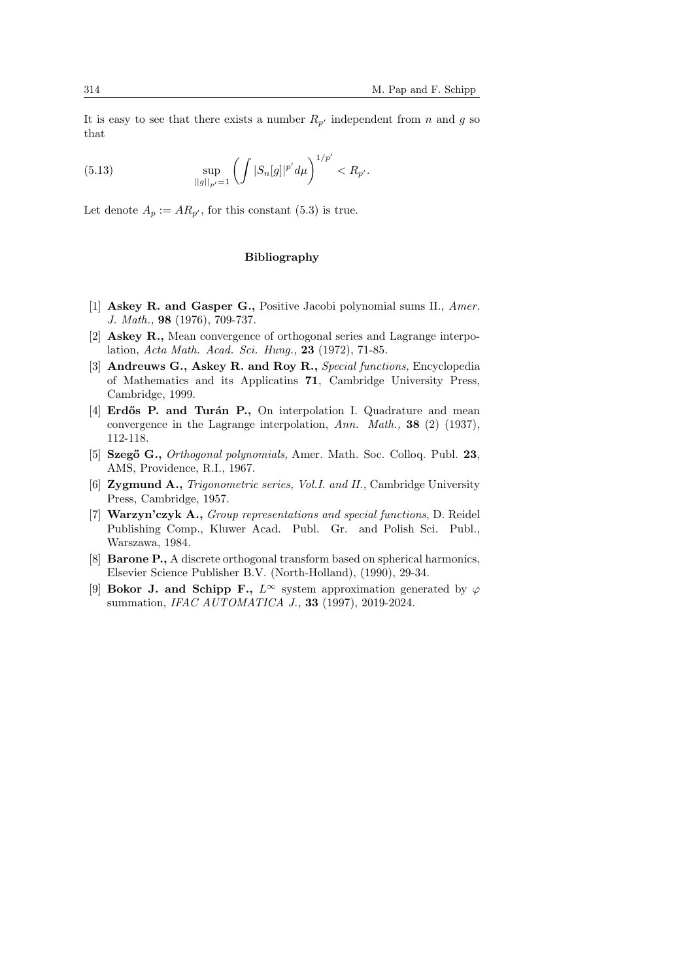It is easy to see that there exists a number  $R_{p'}$  independent from n and g so that

(5.13) 
$$
\sup_{||g||_{p'}=1} \left( \int |S_n[g]|^{p'} d\mu \right)^{1/p'} < R_{p'}.
$$

Let denote  $A_n := AR_{n'}$ , for this constant (5.3) is true.

## Bibliography

- [1] Askey R. and Gasper G., Positive Jacobi polynomial sums II., Amer. J. Math., 98 (1976), 709-737.
- [2] Askey R., Mean convergence of orthogonal series and Lagrange interpolation, Acta Math. Acad. Sci. Hung., 23 (1972), 71-85.
- [3] Andreuws G., Askey R. and Roy R., Special functions, Encyclopedia of Mathematics and its Applicatins 71, Cambridge University Press, Cambridge, 1999.
- [4] **Erdős P. and Turán P.**, On interpolation I. Quadrature and mean convergence in the Lagrange interpolation, Ann. Math., 38 (2) (1937), 112-118.
- [5] Szegő G., *Orthogonal polynomials*, Amer. Math. Soc. Colloq. Publ. 23, AMS, Providence, R.I., 1967.
- [6] Zygmund A., Trigonometric series, Vol.I. and II., Cambridge University Press, Cambridge, 1957.
- [7] Warzyn'czyk A., Group representations and special functions, D. Reidel Publishing Comp., Kluwer Acad. Publ. Gr. and Polish Sci. Publ., Warszawa, 1984.
- [8] Barone P., A discrete orthogonal transform based on spherical harmonics, Elsevier Science Publisher B.V. (North-Holland), (1990), 29-34.
- [9] **Bokor J. and Schipp F.**,  $L^{\infty}$  system approximation generated by  $\varphi$ summation, *IFAC AUTOMATICA J.*, **33** (1997), 2019-2024.